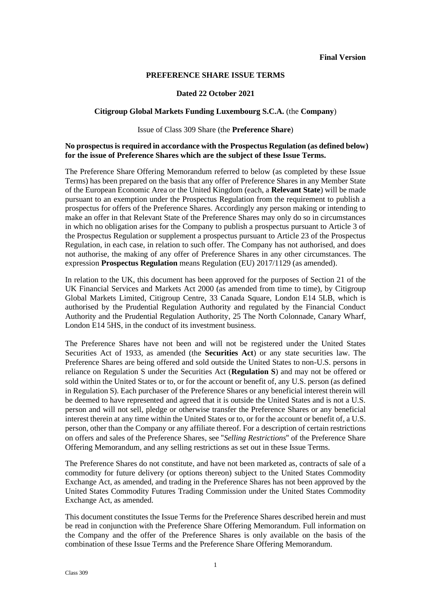#### **PREFERENCE SHARE ISSUE TERMS**

#### **Dated 22 October 2021**

#### **Citigroup Global Markets Funding Luxembourg S.C.A.** (the **Company**)

#### Issue of Class 309 Share (the **Preference Share**)

## **No prospectus is required in accordance with the Prospectus Regulation (as defined below) for the issue of Preference Shares which are the subject of these Issue Terms.**

The Preference Share Offering Memorandum referred to below (as completed by these Issue Terms) has been prepared on the basis that any offer of Preference Shares in any Member State of the European Economic Area or the United Kingdom (each, a **Relevant State**) will be made pursuant to an exemption under the Prospectus Regulation from the requirement to publish a prospectus for offers of the Preference Shares. Accordingly any person making or intending to make an offer in that Relevant State of the Preference Shares may only do so in circumstances in which no obligation arises for the Company to publish a prospectus pursuant to Article 3 of the Prospectus Regulation or supplement a prospectus pursuant to Article 23 of the Prospectus Regulation, in each case, in relation to such offer. The Company has not authorised, and does not authorise, the making of any offer of Preference Shares in any other circumstances. The expression **Prospectus Regulation** means Regulation (EU) 2017/1129 (as amended).

In relation to the UK, this document has been approved for the purposes of Section 21 of the UK Financial Services and Markets Act 2000 (as amended from time to time), by Citigroup Global Markets Limited, Citigroup Centre, 33 Canada Square, London E14 5LB, which is authorised by the Prudential Regulation Authority and regulated by the Financial Conduct Authority and the Prudential Regulation Authority, 25 The North Colonnade, Canary Wharf, London E14 5HS, in the conduct of its investment business.

The Preference Shares have not been and will not be registered under the United States Securities Act of 1933, as amended (the **Securities Act**) or any state securities law. The Preference Shares are being offered and sold outside the United States to non-U.S. persons in reliance on Regulation S under the Securities Act (**Regulation S**) and may not be offered or sold within the United States or to, or for the account or benefit of, any U.S. person (as defined in Regulation S). Each purchaser of the Preference Shares or any beneficial interest therein will be deemed to have represented and agreed that it is outside the United States and is not a U.S. person and will not sell, pledge or otherwise transfer the Preference Shares or any beneficial interest therein at any time within the United States or to, or for the account or benefit of, a U.S. person, other than the Company or any affiliate thereof. For a description of certain restrictions on offers and sales of the Preference Shares, see "*Selling Restrictions*" of the Preference Share Offering Memorandum, and any selling restrictions as set out in these Issue Terms.

The Preference Shares do not constitute, and have not been marketed as, contracts of sale of a commodity for future delivery (or options thereon) subject to the United States Commodity Exchange Act, as amended, and trading in the Preference Shares has not been approved by the United States Commodity Futures Trading Commission under the United States Commodity Exchange Act, as amended.

This document constitutes the Issue Terms for the Preference Shares described herein and must be read in conjunction with the Preference Share Offering Memorandum. Full information on the Company and the offer of the Preference Shares is only available on the basis of the combination of these Issue Terms and the Preference Share Offering Memorandum.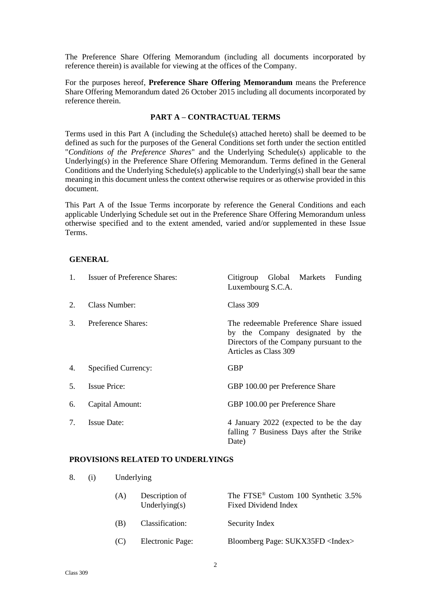The Preference Share Offering Memorandum (including all documents incorporated by reference therein) is available for viewing at the offices of the Company.

For the purposes hereof, **Preference Share Offering Memorandum** means the Preference Share Offering Memorandum dated 26 October 2015 including all documents incorporated by reference therein.

# **PART A – CONTRACTUAL TERMS**

Terms used in this Part A (including the Schedule(s) attached hereto) shall be deemed to be defined as such for the purposes of the General Conditions set forth under the section entitled "*Conditions of the Preference Shares*" and the Underlying Schedule(s) applicable to the Underlying(s) in the Preference Share Offering Memorandum. Terms defined in the General Conditions and the Underlying Schedule(s) applicable to the Underlying(s) shall bear the same meaning in this document unless the context otherwise requires or as otherwise provided in this document.

This Part A of the Issue Terms incorporate by reference the General Conditions and each applicable Underlying Schedule set out in the Preference Share Offering Memorandum unless otherwise specified and to the extent amended, varied and/or supplemented in these Issue Terms.

#### **GENERAL**

| $\mathbf{1}$ . | <b>Issuer of Preference Shares:</b> | Global Markets<br>Citigroup<br>Funding<br>Luxembourg S.C.A.                                                                                     |
|----------------|-------------------------------------|-------------------------------------------------------------------------------------------------------------------------------------------------|
| 2.             | Class Number:                       | Class 309                                                                                                                                       |
| 3.             | Preference Shares:                  | The redeemable Preference Share issued<br>by the Company designated by the<br>Directors of the Company pursuant to the<br>Articles as Class 309 |
| 4.             | Specified Currency:                 | <b>GBP</b>                                                                                                                                      |
| 5.             | <b>Issue Price:</b>                 | GBP 100.00 per Preference Share                                                                                                                 |
| 6.             | Capital Amount:                     | GBP 100.00 per Preference Share                                                                                                                 |
| 7.             | <b>Issue Date:</b>                  | 4 January 2022 (expected to be the day<br>falling 7 Business Days after the Strike<br>Date)                                                     |

#### **PROVISIONS RELATED TO UNDERLYINGS**

8. (i) Underlying

| (A) | Description of<br>Underlying $(s)$ | The FTSE <sup>®</sup> Custom 100 Synthetic 3.5%<br>Fixed Dividend Index |
|-----|------------------------------------|-------------------------------------------------------------------------|
| (B) | Classification:                    | Security Index                                                          |
| (C) | Electronic Page:                   | Bloomberg Page: SUKX35FD <index></index>                                |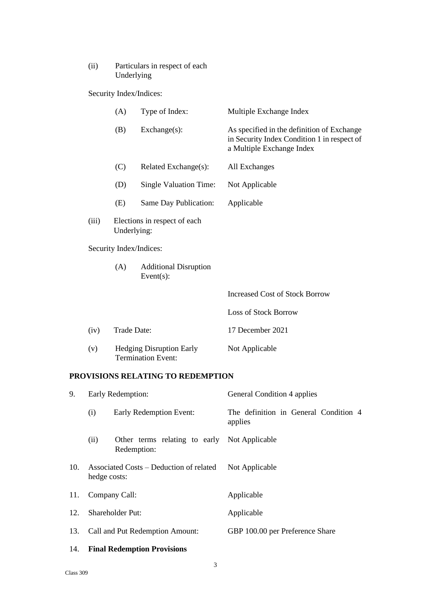# (ii) Particulars in respect of each Underlying

Security Index/Indices:

|     |                                                                                 | (A)         | Type of Index:                                               | Multiple Exchange Index                                                                                                |
|-----|---------------------------------------------------------------------------------|-------------|--------------------------------------------------------------|------------------------------------------------------------------------------------------------------------------------|
|     |                                                                                 | (B)         | Exchange(s):                                                 | As specified in the definition of Exchange<br>in Security Index Condition 1 in respect of<br>a Multiple Exchange Index |
|     |                                                                                 | (C)         | Related Exchange(s):                                         | All Exchanges                                                                                                          |
|     |                                                                                 | (D)         | Single Valuation Time:                                       | Not Applicable                                                                                                         |
|     |                                                                                 | (E)         | Same Day Publication:                                        | Applicable                                                                                                             |
|     | (iii)<br>Elections in respect of each<br>Underlying:<br>Security Index/Indices: |             |                                                              |                                                                                                                        |
|     |                                                                                 |             |                                                              |                                                                                                                        |
|     |                                                                                 | (A)         | <b>Additional Disruption</b><br>Event $(s)$ :                |                                                                                                                        |
|     |                                                                                 |             |                                                              | <b>Increased Cost of Stock Borrow</b>                                                                                  |
|     |                                                                                 |             |                                                              | <b>Loss of Stock Borrow</b>                                                                                            |
|     | (iv)                                                                            | Trade Date: |                                                              | 17 December 2021                                                                                                       |
|     | (v)                                                                             |             | <b>Hedging Disruption Early</b><br><b>Termination Event:</b> | Not Applicable                                                                                                         |
|     |                                                                                 |             | PROVISIONS RELATING TO REDEMPTION                            |                                                                                                                        |
| 9.  | Early Redemption:                                                               |             |                                                              | General Condition 4 applies                                                                                            |
|     | (i)                                                                             |             | Early Redemption Event:                                      | The definition in General Condition 4<br>applies                                                                       |
|     | (ii)                                                                            | Redemption: | Other terms relating to early Not Applicable                 |                                                                                                                        |
| 10. | Associated Costs - Deduction of related<br>hedge costs:                         |             |                                                              | Not Applicable                                                                                                         |
| 11. | Company Call:                                                                   |             |                                                              | Applicable                                                                                                             |
| 12. | Shareholder Put:                                                                |             |                                                              | Applicable                                                                                                             |

13. Call and Put Redemption Amount: GBP 100.00 per Preference Share

# 14. **Final Redemption Provisions**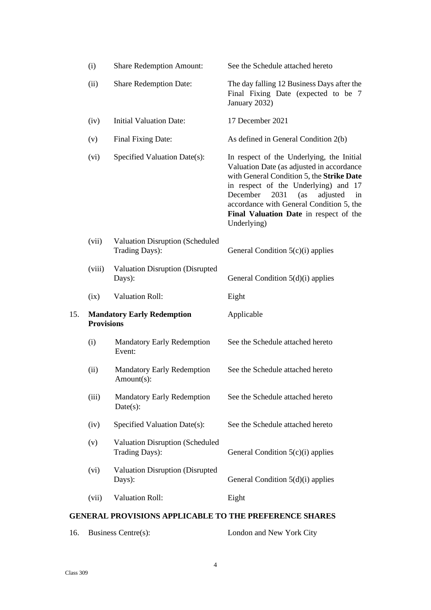|     | (i)               | <b>Share Redemption Amount:</b>                          | See the Schedule attached hereto                                                                                                                                                                                                                                                                                              |
|-----|-------------------|----------------------------------------------------------|-------------------------------------------------------------------------------------------------------------------------------------------------------------------------------------------------------------------------------------------------------------------------------------------------------------------------------|
|     | (ii)              | <b>Share Redemption Date:</b>                            | The day falling 12 Business Days after the<br>Final Fixing Date (expected to be 7<br>January 2032)                                                                                                                                                                                                                            |
|     | (iv)              | <b>Initial Valuation Date:</b>                           | 17 December 2021                                                                                                                                                                                                                                                                                                              |
|     | (v)               | Final Fixing Date:                                       | As defined in General Condition 2(b)                                                                                                                                                                                                                                                                                          |
|     | (vi)              | Specified Valuation Date(s):                             | In respect of the Underlying, the Initial<br>Valuation Date (as adjusted in accordance<br>with General Condition 5, the Strike Date<br>in respect of the Underlying) and 17<br>December<br>2031<br>(as<br>adjusted<br>in<br>accordance with General Condition 5, the<br>Final Valuation Date in respect of the<br>Underlying) |
|     | (vii)             | <b>Valuation Disruption (Scheduled</b><br>Trading Days): | General Condition $5(c)(i)$ applies                                                                                                                                                                                                                                                                                           |
|     | (viii)            | Valuation Disruption (Disrupted<br>Days):                | General Condition $5(d)(i)$ applies                                                                                                                                                                                                                                                                                           |
|     | (ix)              | <b>Valuation Roll:</b>                                   | Eight                                                                                                                                                                                                                                                                                                                         |
|     |                   |                                                          |                                                                                                                                                                                                                                                                                                                               |
| 15. | <b>Provisions</b> | <b>Mandatory Early Redemption</b>                        | Applicable                                                                                                                                                                                                                                                                                                                    |
|     | (i)               | <b>Mandatory Early Redemption</b><br>Event:              | See the Schedule attached hereto                                                                                                                                                                                                                                                                                              |
|     | (ii)              | <b>Mandatory Early Redemption</b><br>Amount(s):          | See the Schedule attached hereto                                                                                                                                                                                                                                                                                              |
|     | (iii)             | <b>Mandatory Early Redemption</b><br>$Date(s)$ :         | See the Schedule attached hereto                                                                                                                                                                                                                                                                                              |
|     | (iv)              | Specified Valuation Date(s):                             | See the Schedule attached hereto                                                                                                                                                                                                                                                                                              |
|     | (v)               | <b>Valuation Disruption (Scheduled</b><br>Trading Days): | General Condition $5(c)(i)$ applies                                                                                                                                                                                                                                                                                           |
|     | (vi)              | Valuation Disruption (Disrupted<br>Days):                | General Condition $5(d)(i)$ applies                                                                                                                                                                                                                                                                                           |
|     | (vii)             | <b>Valuation Roll:</b>                                   | Eight                                                                                                                                                                                                                                                                                                                         |

16. Business Centre(s): London and New York City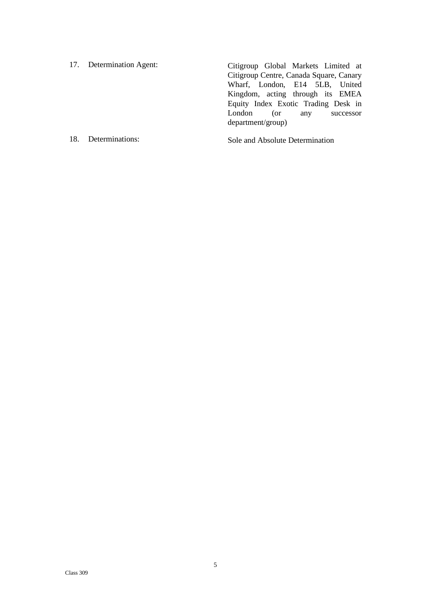17. Determination Agent: Citigroup Global Markets Limited at Citigroup Centre, Canada Square, Canary Wharf, London, E14 5LB, United Kingdom, acting through its EMEA Equity Index Exotic Trading Desk in London (or any successor department/group)

18. Determinations: Sole and Absolute Determination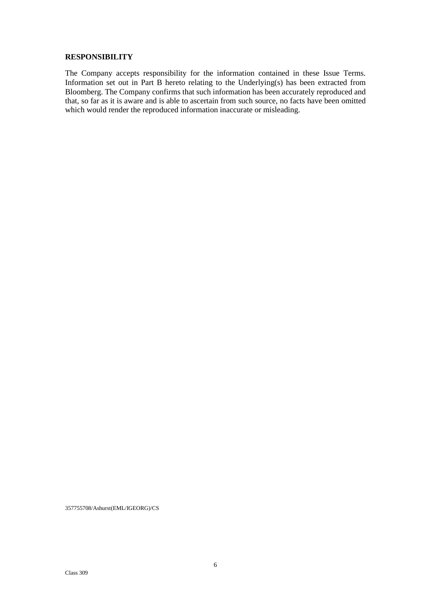#### **RESPONSIBILITY**

The Company accepts responsibility for the information contained in these Issue Terms. Information set out in Part B hereto relating to the Underlying(s) has been extracted from Bloomberg. The Company confirms that such information has been accurately reproduced and that, so far as it is aware and is able to ascertain from such source, no facts have been omitted which would render the reproduced information inaccurate or misleading.

357755708/Ashurst(EML/IGEORG)/CS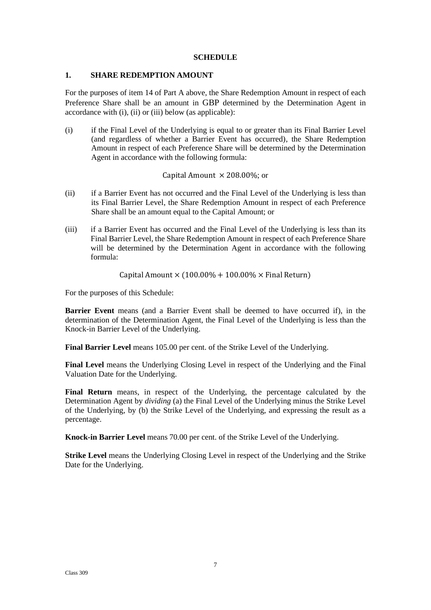### **SCHEDULE**

#### **1. SHARE REDEMPTION AMOUNT**

For the purposes of item 14 of Part A above, the Share Redemption Amount in respect of each Preference Share shall be an amount in GBP determined by the Determination Agent in accordance with (i), (ii) or (iii) below (as applicable):

(i) if the Final Level of the Underlying is equal to or greater than its Final Barrier Level (and regardless of whether a Barrier Event has occurred), the Share Redemption Amount in respect of each Preference Share will be determined by the Determination Agent in accordance with the following formula:

# Capital Amount  $\times$  208.00%; or

- (ii) if a Barrier Event has not occurred and the Final Level of the Underlying is less than its Final Barrier Level, the Share Redemption Amount in respect of each Preference Share shall be an amount equal to the Capital Amount; or
- (iii) if a Barrier Event has occurred and the Final Level of the Underlying is less than its Final Barrier Level, the Share Redemption Amount in respect of each Preference Share will be determined by the Determination Agent in accordance with the following formula:

Capital Amount  $\times$  (100.00% + 100.00%  $\times$  Final Return)

For the purposes of this Schedule:

**Barrier Event** means (and a Barrier Event shall be deemed to have occurred if), in the determination of the Determination Agent, the Final Level of the Underlying is less than the Knock-in Barrier Level of the Underlying.

**Final Barrier Level** means 105.00 per cent. of the Strike Level of the Underlying.

**Final Level** means the Underlying Closing Level in respect of the Underlying and the Final Valuation Date for the Underlying.

**Final Return** means, in respect of the Underlying, the percentage calculated by the Determination Agent by *dividing* (a) the Final Level of the Underlying minus the Strike Level of the Underlying, by (b) the Strike Level of the Underlying, and expressing the result as a percentage.

**Knock-in Barrier Level** means 70.00 per cent. of the Strike Level of the Underlying.

**Strike Level** means the Underlying Closing Level in respect of the Underlying and the Strike Date for the Underlying.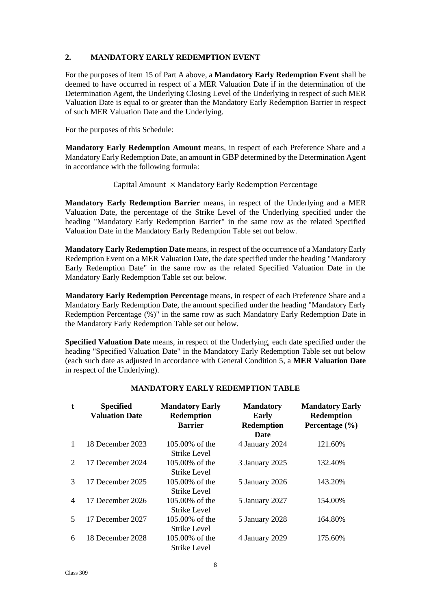# **2. MANDATORY EARLY REDEMPTION EVENT**

For the purposes of item 15 of Part A above, a **Mandatory Early Redemption Event** shall be deemed to have occurred in respect of a MER Valuation Date if in the determination of the Determination Agent, the Underlying Closing Level of the Underlying in respect of such MER Valuation Date is equal to or greater than the Mandatory Early Redemption Barrier in respect of such MER Valuation Date and the Underlying.

For the purposes of this Schedule:

**Mandatory Early Redemption Amount** means, in respect of each Preference Share and a Mandatory Early Redemption Date, an amount in GBP determined by the Determination Agent in accordance with the following formula:

# Capital Amount  $\times$  Mandatory Early Redemption Percentage

**Mandatory Early Redemption Barrier** means, in respect of the Underlying and a MER Valuation Date, the percentage of the Strike Level of the Underlying specified under the heading "Mandatory Early Redemption Barrier" in the same row as the related Specified Valuation Date in the Mandatory Early Redemption Table set out below.

**Mandatory Early Redemption Date** means, in respect of the occurrence of a Mandatory Early Redemption Event on a MER Valuation Date, the date specified under the heading "Mandatory Early Redemption Date" in the same row as the related Specified Valuation Date in the Mandatory Early Redemption Table set out below.

**Mandatory Early Redemption Percentage** means, in respect of each Preference Share and a Mandatory Early Redemption Date, the amount specified under the heading "Mandatory Early Redemption Percentage (%)" in the same row as such Mandatory Early Redemption Date in the Mandatory Early Redemption Table set out below.

**Specified Valuation Date** means, in respect of the Underlying, each date specified under the heading "Specified Valuation Date" in the Mandatory Early Redemption Table set out below (each such date as adjusted in accordance with General Condition 5, a **MER Valuation Date** in respect of the Underlying).

| t             | <b>Specified</b><br><b>Valuation Date</b> | <b>Mandatory Early</b><br><b>Redemption</b><br><b>Barrier</b> | <b>Mandatory</b><br><b>Early</b><br><b>Redemption</b><br><b>Date</b> | <b>Mandatory Early</b><br><b>Redemption</b><br>Percentage $(\% )$ |
|---------------|-------------------------------------------|---------------------------------------------------------------|----------------------------------------------------------------------|-------------------------------------------------------------------|
| $\mathbf{1}$  | 18 December 2023                          | 105,00% of the                                                | 4 January 2024                                                       | 121.60%                                                           |
|               |                                           | Strike Level                                                  |                                                                      |                                                                   |
| 2             | 17 December 2024                          | 105,00% of the                                                | 3 January 2025                                                       | 132.40%                                                           |
|               |                                           | Strike Level                                                  |                                                                      |                                                                   |
| $\mathcal{R}$ | 17 December 2025                          | 105.00% of the                                                | 5 January 2026                                                       | 143.20%                                                           |
|               |                                           | Strike Level                                                  |                                                                      |                                                                   |
| 4             | 17 December 2026                          | 105,00% of the                                                | 5 January 2027                                                       | 154.00%                                                           |
|               |                                           | Strike Level                                                  |                                                                      |                                                                   |
| $\mathcal{F}$ | 17 December 2027                          | 105,00% of the                                                | 5 January 2028                                                       | 164.80%                                                           |
|               |                                           | Strike Level                                                  |                                                                      |                                                                   |
| 6             | 18 December 2028                          | 105,00% of the                                                | 4 January 2029                                                       | 175.60%                                                           |
|               |                                           | Strike Level                                                  |                                                                      |                                                                   |

# **MANDATORY EARLY REDEMPTION TABLE**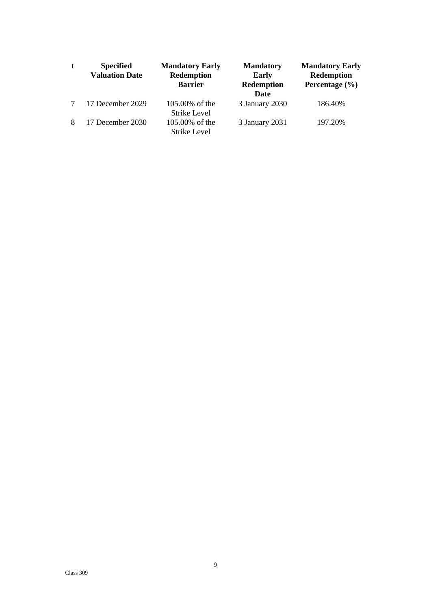| t      | <b>Specified</b><br><b>Valuation Date</b> | <b>Mandatory Early</b><br><b>Redemption</b><br><b>Barrier</b> | <b>Mandatory</b><br>Early<br>Redemption<br>Date | <b>Mandatory Early</b><br><b>Redemption</b><br>Percentage $(\% )$ |
|--------|-------------------------------------------|---------------------------------------------------------------|-------------------------------------------------|-------------------------------------------------------------------|
| $\tau$ | 17 December 2029                          | 105,00% of the<br>Strike Level                                | 3 January 2030                                  | 186.40%                                                           |
| 8      | 17 December 2030                          | 105,00% of the<br>Strike Level                                | 3 January 2031                                  | 197.20%                                                           |